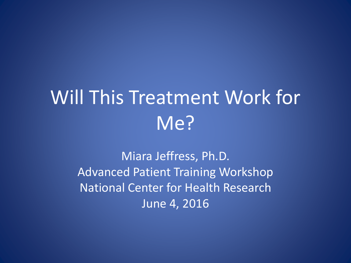# Will This Treatment Work for Me?

Miara Jeffress, Ph.D. Advanced Patient Training Workshop National Center for Health Research June 4, 2016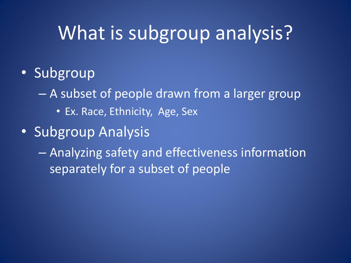## What is subgroup analysis?

- Subgroup
	- A subset of people drawn from a larger group
		- Ex. Race, Ethnicity, Age, Sex
- Subgroup Analysis

– Analyzing safety and effectiveness information separately for a subset of people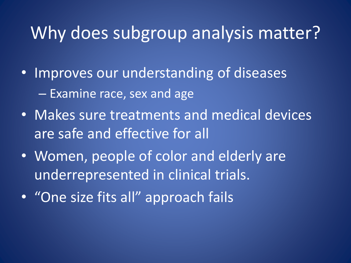#### Why does subgroup analysis matter?

- Improves our understanding of diseases – Examine race, sex and age
- Makes sure treatments and medical devices are safe and effective for all
- Women, people of color and elderly are underrepresented in clinical trials.
- "One size fits all" approach fails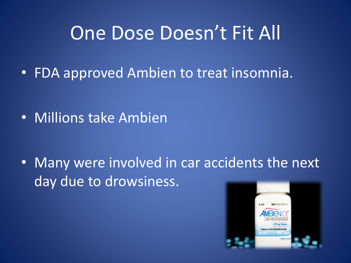### One Dose Doesn't Fit All

• FDA approved Ambien to treat insomnia.

• Millions take Ambien

• Many were involved in car accidents the next day due to drowsiness.

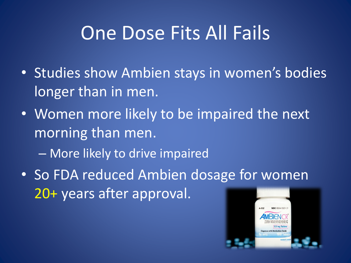## One Dose Fits All Fails

- Studies show Ambien stays in women's bodies longer than in men.
- Women more likely to be impaired the next morning than men.
	- More likely to drive impaired
- So FDA reduced Ambien dosage for women 20+ years after approval.

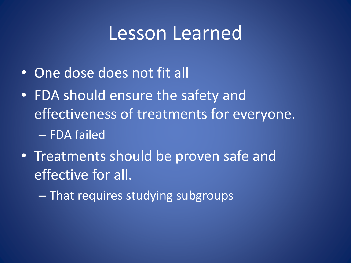### Lesson Learned

- One dose does not fit all
- FDA should ensure the safety and effectiveness of treatments for everyone. – FDA failed
- Treatments should be proven safe and effective for all.

– That requires studying subgroups